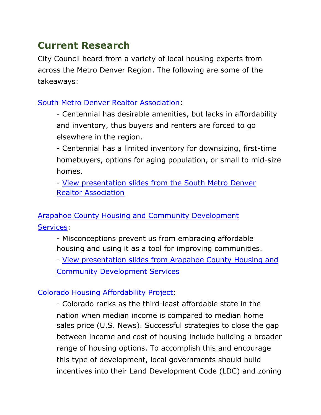## **Current Research**

City Council heard from a variety of local housing experts from across the Metro Denver Region. The following are some of the takeaways:

[South Metro Denver Realtor Association:](https://smdra.com/)

- Centennial has desirable amenities, but lacks in affordability and inventory, thus buyers and renters are forced to go elsewhere in the region.

- Centennial has a limited inventory for downsizing, first-time homebuyers, options for aging population, or small to mid-size homes.

- [View presentation slides from the South Metro Denver](https://www.centennialco.gov/files/sharedassets/public/documents/housing/1_smdra-presentation.pdf)  Realtor [Association](https://www.centennialco.gov/files/sharedassets/public/documents/housing/1_smdra-presentation.pdf)

[Arapahoe County Housing and Community Development](https://www.arapahoegov.com/329/Housing-and-Community-Development) [Services:](https://www.arapahoegov.com/329/Housing-and-Community-Development)

- Misconceptions prevent us from embracing affordable housing and using it as a tool for improving communities.

- [View presentation slides from Arapahoe County Housing and](https://www.centennialco.gov/files/sharedassets/public/documents/housing/2_arapahoecountyaffordable-housing-presentation20210709.pdf) [Community Development Services](https://www.centennialco.gov/files/sharedassets/public/documents/housing/2_arapahoecountyaffordable-housing-presentation20210709.pdf)

## [Colorado Housing Affordability Project:](https://cohousingaffordabilityproject.org/)

- Colorado ranks as the third-least affordable state in the nation when median income is compared to median home sales price (U.S. News). Successful strategies to close the gap between income and cost of housing include building a broader range of housing options. To accomplish this and encourage this type of development, local governments should build incentives into their Land Development Code (LDC) and zoning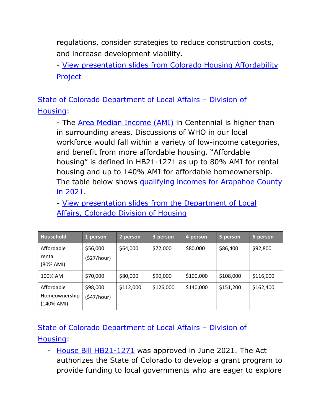regulations, consider strategies to reduce construction costs, and increase development viability.

- [View presentation slides from Colorado Housing Affordability](https://www.centennialco.gov/files/sharedassets/public/documents/housing/3_colorado-housing-affordability-project.pdf) [Project](https://www.centennialco.gov/files/sharedassets/public/documents/housing/3_colorado-housing-affordability-project.pdf)

[State of Colorado Department of Local Affairs – Division of](https://cdola.colorado.gov/housing) [Housing:](https://cdola.colorado.gov/housing)

- The [Area Median Income \(AMI\)](https://smho.co/what-is-area-median-income-ami/) in Centennial is higher than in surrounding areas. Discussions of WHO in our local workforce would fall within a variety of low-income categories, and benefit from more affordable housing. "Affordable housing" is defined in HB21-1271 as up to 80% AMI for rental housing and up to 140% AMI for affordable homeownership. The table below shows qualifying incomes for Arapahoe County [in 2021.](https://www.arapahoegov.com/424/Income-Limits)

- [View presentation slides from the Department of Local](https://www.centennialco.gov/files/sharedassets/public/documents/housing/4_affordable-income-levels-and-barriers-to-affordable-development.pdf)  Affairs, [Colorado Division of Housing](https://www.centennialco.gov/files/sharedassets/public/documents/housing/4_affordable-income-levels-and-barriers-to-affordable-development.pdf)

| Household                                    | 1-person                | 2-person  | 3-person  | 4-person  | 5-person  | 6-person  |
|----------------------------------------------|-------------------------|-----------|-----------|-----------|-----------|-----------|
| Affordable<br>rental<br>(80% AMI)            | \$56,000<br>(527/hour)  | \$64,000  | \$72,000  | \$80,000  | \$86,400  | \$92,800  |
| 100% AMI                                     | \$70,000                | \$80,000  | \$90,000  | \$100,000 | \$108,000 | \$116,000 |
| Affordable<br>Homeownership<br>$(140\%$ AMI) | \$98,000<br>(\$47/hour) | \$112,000 | \$126,000 | \$140,000 | \$151,200 | \$162,400 |

[State of Colorado Department of Local Affairs – Division of](https://cdola.colorado.gov/housing) [Housing:](https://cdola.colorado.gov/housing)

- [House Bill HB21-1271](https://leg.colorado.gov/bills/hb21-1271) was approved in June 2021. The Act authorizes the State of Colorado to develop a grant program to provide funding to local governments who are eager to explore